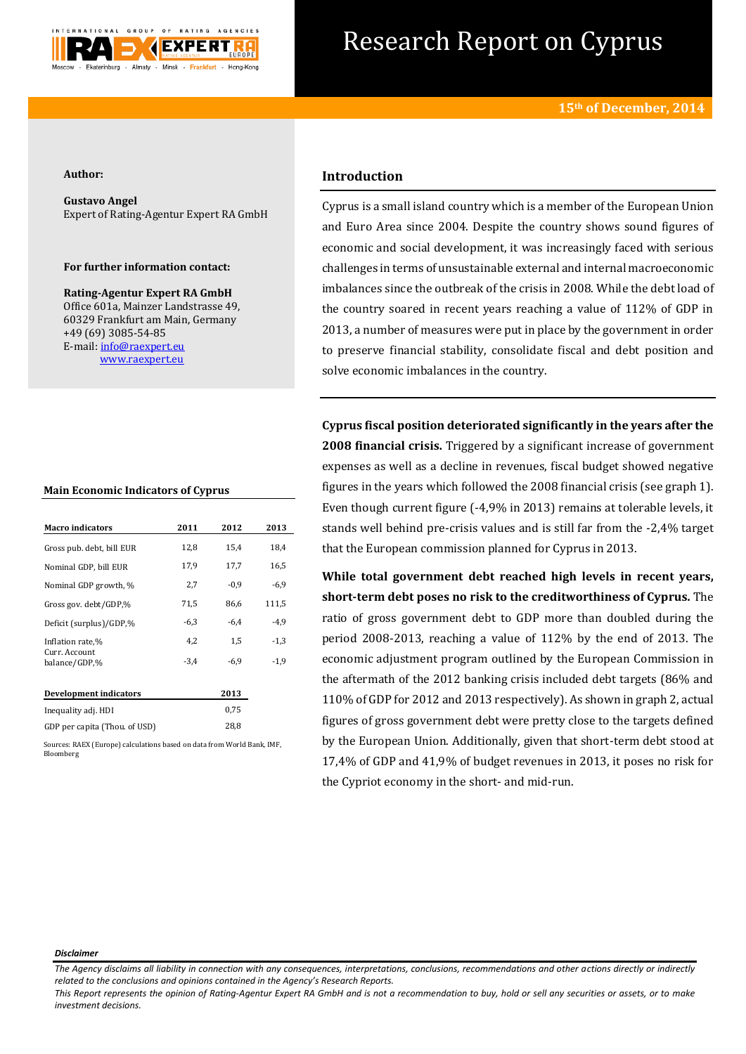

# Research Report on Cyprus

## **Author:**

**Gustavo Angel** Expert of Rating-Agentur Expert RA GmbH

# **For further information contact:**

**Rating-Agentur Expert RA GmbH** Office 601a, Mainzer Landstrasse 49, 60329 Frankfurt am Main, Germany +49 (69) 3085-54-85 E-mail[: info@raexpert.eu](mailto:info@raexpert.eu) [www.raexpert.eu](http://raexpert.eu/)

## **Main Economic Indicators of Cyprus**

| <b>Macro</b> indicators        | 2011   | 2012   | 2013   |
|--------------------------------|--------|--------|--------|
| Gross pub. debt, bill EUR      | 12,8   | 15,4   | 18,4   |
| Nominal GDP, bill EUR          | 17,9   | 17,7   | 16,5   |
| Nominal GDP growth, %          | 2,7    | $-0,9$ | $-6,9$ |
| Gross gov. debt/GDP,%          | 71,5   | 86,6   | 111,5  |
| Deficit (surplus)/GDP,%        | $-6,3$ | $-6,4$ | $-4,9$ |
| Inflation rate,%               | 4,2    | 1,5    | $-1,3$ |
| Curr. Account<br>balance/GDP,% | $-3,4$ | $-6.9$ | $-1,9$ |
| Development indicators         |        | 2013   |        |
| Inequality adj. HDI            |        | 0,75   |        |
| GDP per capita (Thou, of USD)  |        | 28,8   |        |

Sources: RAEX (Europe) calculations based on data from World Bank, IMF, Bloomberg

# **Introduction**

Cyprus is a small island country which is a member of the European Union and Euro Area since 2004. Despite the country shows sound figures of economic and social development, it was increasingly faced with serious challenges in terms of unsustainable external and internal macroeconomic imbalances since the outbreak of the crisis in 2008. While the debt load of the country soared in recent years reaching a value of 112% of GDP in 2013, a number of measures were put in place by the government in order to preserve financial stability, consolidate fiscal and debt position and solve economic imbalances in the country.

**Cyprus fiscal position deteriorated significantly in the years after the 2008 financial crisis.** Triggered by a significant increase of government expenses as well as a decline in revenues, fiscal budget showed negative figures in the years which followed the 2008 financial crisis (see graph 1). Even though current figure (-4,9% in 2013) remains at tolerable levels, it stands well behind pre-crisis values and is still far from the -2,4% target that the European commission planned for Cyprus in 2013.

**While total government debt reached high levels in recent years, short-term debt poses no risk to the creditworthiness of Cyprus.** The ratio of gross government debt to GDP more than doubled during the period 2008-2013, reaching a value of 112% by the end of 2013. The economic adjustment program outlined by the European Commission in the aftermath of the 2012 banking crisis included debt targets (86% and 110% of GDP for 2012 and 2013 respectively). As shown in graph 2, actual figures of gross government debt were pretty close to the targets defined by the European Union. Additionally, given that short-term debt stood at 17,4% of GDP and 41,9% of budget revenues in 2013, it poses no risk for the Cypriot economy in the short- and mid-run.

#### *Disclaimer*

*The Agency disclaims all liability in connection with any consequences, interpretations, conclusions, recommendations and other actions directly or indirectly related to the conclusions and opinions contained in the Agency's Research Reports.*

*This Report represents the opinion of Rating-Agentur Expert RA GmbH and is not a recommendation to buy, hold or sell any securities or assets, or to make investment decisions.*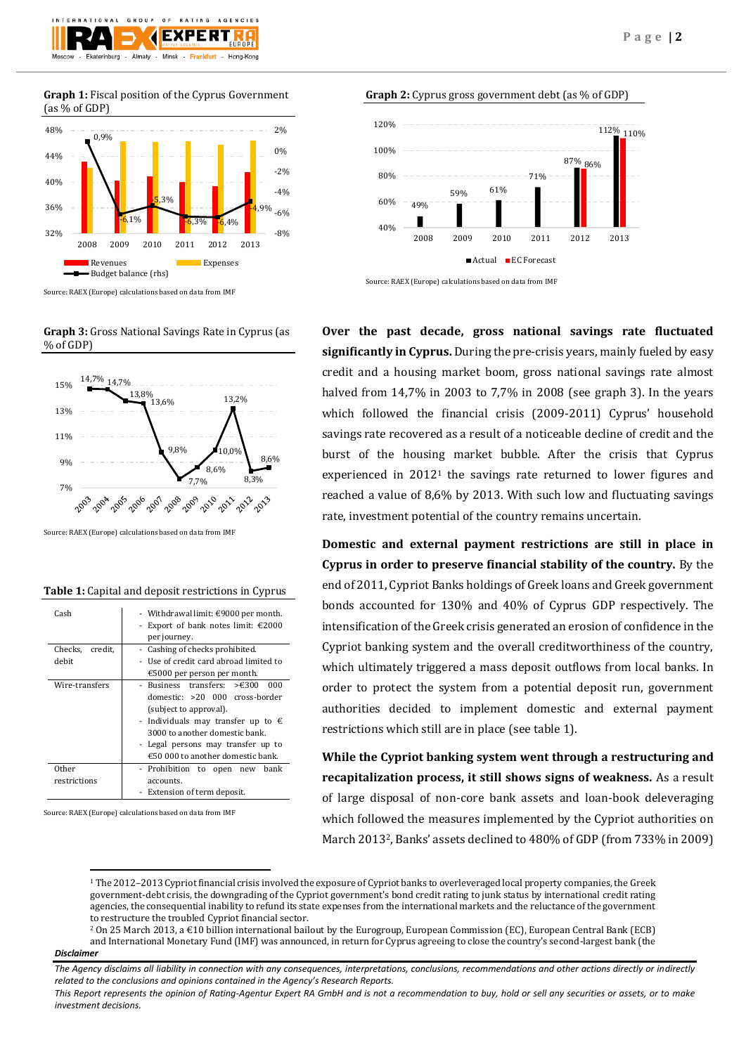

**Graph 1:** Fiscal position of the Cyprus Government (as % of GDP)



Source: RAEX (Europe) calculations based on data from IMF

**Graph 3:** Gross National Savings Rate in Cyprus (as % of GDP)



Source: RAEX (Europe) calculations based on data from IMF

#### **Table 1:** Capital and deposit restrictions in Cyprus

| Cash            | - Withdrawal limit: $\epsilon$ 9000 per month.                                                                                                                                                                                                                             |  |
|-----------------|----------------------------------------------------------------------------------------------------------------------------------------------------------------------------------------------------------------------------------------------------------------------------|--|
|                 | - Export of bank notes limit: $£2000$                                                                                                                                                                                                                                      |  |
|                 | per journey.                                                                                                                                                                                                                                                               |  |
| Checks, credit, | - Cashing of checks prohibited.                                                                                                                                                                                                                                            |  |
| debit           | - Use of credit card abroad limited to                                                                                                                                                                                                                                     |  |
|                 | €5000 per person per month.                                                                                                                                                                                                                                                |  |
| Wire-transfers  | - Business transfers: $\geq 6300$<br>000<br>domestic: >20 000 cross-border<br>(subject to approval).<br>- Individuals may transfer up to $\epsilon$<br>3000 to another domestic bank.<br>- Legal persons may transfer up to<br>$\epsilon$ 50 000 to another domestic bank. |  |
|                 |                                                                                                                                                                                                                                                                            |  |
| Other           | - Prohibition to open<br>hank<br>new                                                                                                                                                                                                                                       |  |
| restrictions    | accounts.                                                                                                                                                                                                                                                                  |  |
|                 | - Extension of term deposit.                                                                                                                                                                                                                                               |  |

Source: RAEX (Europe) calculations based on data from IMF







**Over the past decade, gross national savings rate fluctuated significantly in Cyprus.** During the pre-crisis years, mainly fueled by easy credit and a housing market boom, gross national savings rate almost halved from 14,7% in 2003 to 7,7% in 2008 (see graph 3). In the years which followed the financial crisis (2009-2011) Cyprus' household savings rate recovered as a result of a noticeable decline of credit and the burst of the housing market bubble. After the crisis that Cyprus experienced in 2012<sup>1</sup> the savings rate returned to lower figures and reached a value of 8,6% by 2013. With such low and fluctuating savings rate, investment potential of the country remains uncertain.

**Domestic and external payment restrictions are still in place in Cyprus in order to preserve financial stability of the country.** By the end of 2011, Cypriot Banks holdings of Greek loans and Greek government bonds accounted for 130% and 40% of Cyprus GDP respectively. The intensification of the Greek crisis generated an erosion of confidence in the Cypriot banking system and the overall creditworthiness of the country, which ultimately triggered a mass deposit outflows from local banks. In order to protect the system from a potential deposit run, government authorities decided to implement domestic and external payment restrictions which still are in place (see table 1).

**While the Cypriot banking system went through a restructuring and recapitalization process, it still shows signs of weakness.** As a result of large disposal of non-core bank assets and loan-book deleveraging which followed the measures implemented by the Cypriot authorities on March 20132, Banks' assets declined to 480% of GDP (from 733% in 2009)

<sup>1</sup> The 2012–2013 Cypriot financial crisis involved the exposure of Cypriot banks to overleveraged local property companies, th[e Greek](http://en.wikipedia.org/wiki/Greek_government-debt_crisis)  [government-debt crisis,](http://en.wikipedia.org/wiki/Greek_government-debt_crisis) the downgrading of th[e Cypriot government's](http://en.wikipedia.org/wiki/Government_of_Cyprus) [bond credit rating](http://en.wikipedia.org/wiki/Bond_credit_rating) to junk status by internationa[l credit rating](http://en.wikipedia.org/wiki/Credit_rating_agency)  [agencies,](http://en.wikipedia.org/wiki/Credit_rating_agency) the consequential inability to refund its state expenses from the international markets and the reluctance of the government to restructure the troubled Cypriot financial sector.

<sup>2</sup> On 25 March 2013, a €10 billion international [bailout](http://en.wikipedia.org/wiki/Bailout) by th[e Eurogroup,](http://en.wikipedia.org/wiki/Eurogroup) [European Commission](http://en.wikipedia.org/wiki/European_Commission) (EC)[, European Central Bank](http://en.wikipedia.org/wiki/European_Central_Bank) (ECB) an[d International Monetary Fund](http://en.wikipedia.org/wiki/International_Monetary_Fund) (IMF) was announced, in return for Cyprus agreeing to close the country's second-largest bank (the

## *Disclaimer*

**.** 

*This Report represents the opinion of Rating-Agentur Expert RA GmbH and is not a recommendation to buy, hold or sell any securities or assets, or to make investment decisions.*

*The Agency disclaims all liability in connection with any consequences, interpretations, conclusions, recommendations and other actions directly or indirectly related to the conclusions and opinions contained in the Agency's Research Reports.*